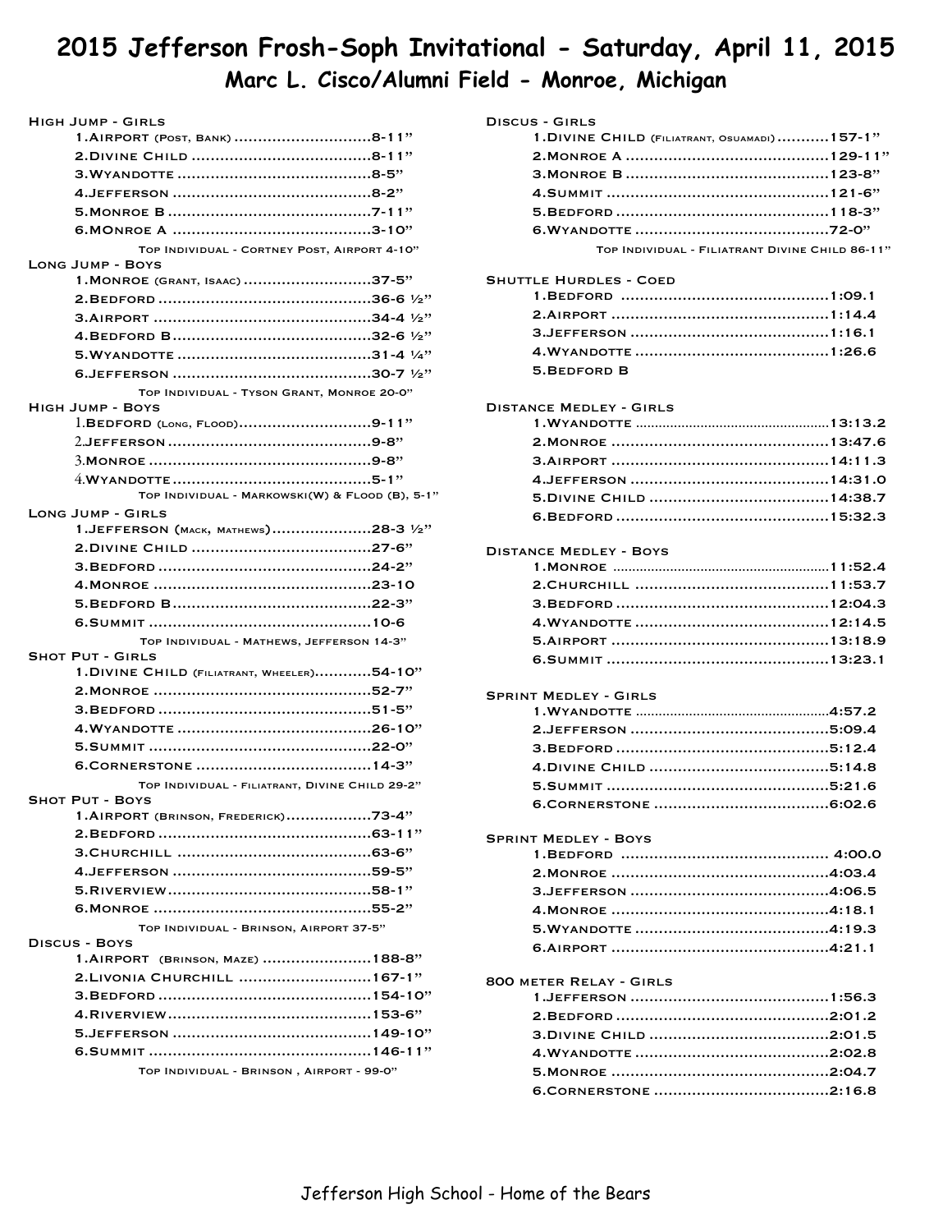# **2015 Jefferson Frosh-Soph Invitational - Saturday, April 11, 2015 Marc L. Cisco/Alumni Field - Monroe, Michigan**

| <b>HIGH JUMP - GIRLS</b>                                                |
|-------------------------------------------------------------------------|
| 1.AIRPORT (POST, BANK) 8-11"                                            |
|                                                                         |
|                                                                         |
|                                                                         |
|                                                                         |
|                                                                         |
| TOP INDIVIDUAL - CORTNEY POST, AIRPORT 4-10"<br><b>LONG JUMP - BOYS</b> |
| 1. MONROE (GRANT, ISAAC) 37-5"                                          |
|                                                                         |
|                                                                         |
|                                                                         |
|                                                                         |
|                                                                         |
| TOP INDIVIDUAL - TYSON GRANT, MONROE 20-0"                              |
| <b>HIGH JUMP - BOYS</b>                                                 |
| 1.BEDFORD (LONG, FLOOD)9-11"                                            |
|                                                                         |
|                                                                         |
|                                                                         |
| TOP INDIVIDUAL - MARKOWSKI(W) & FLOOD (B), 5-1"                         |
| <b>LONG JUMP - GIRLS</b>                                                |
| 1.JEFFERSON (MACK, MATHEWS)28-3 1/2"                                    |
|                                                                         |
|                                                                         |
|                                                                         |
|                                                                         |
|                                                                         |
| TOP INDIVIDUAL - MATHEWS, JEFFERSON 14-3"                               |
| <b>SHOT PUT - GIRLS</b>                                                 |
| 1. DIVINE CHILD (FILIATRANT, WHEELER)54-10"                             |
|                                                                         |
|                                                                         |
|                                                                         |
|                                                                         |
|                                                                         |
| TOP INDIVIDUAL - FILIATRANT, DIVINE CHILD 29-2"                         |
| <b>SHOT PUT - BOYS</b><br>1.AIRPORT (BRINSON, FREDERICK)73-4"           |
|                                                                         |
|                                                                         |
|                                                                         |
|                                                                         |
|                                                                         |
|                                                                         |
| TOP INDIVIDUAL - BRINSON, AIRPORT 37-5"<br><b>DISCUS - BOYS</b>         |
| 1.AIRPORT (BRINSON, MAZE) 188-8"                                        |
| 2. LIVONIA CHURCHILL  167-1"                                            |
|                                                                         |
|                                                                         |
|                                                                         |
|                                                                         |
| TOP INDIVIDUAL - BRINSON, AIRPORT - 99-0"                               |
|                                                                         |

| DISCUS - GIRLS |  |
|----------------|--|
|----------------|--|

| 1. DIVINE CHILD (FILIATRANT, OSUAMADI)157-1"    |  |
|-------------------------------------------------|--|
|                                                 |  |
|                                                 |  |
|                                                 |  |
|                                                 |  |
|                                                 |  |
| TOP INDIVIDUAL - FILIATRANT DIVINE CHILD 86-11" |  |

## Shuttle Hurdles - Coed

| 5. BEDFORD B |  |
|--------------|--|

## Distance Medley - Girls

## Distance Medley - Boys

## Sprint Medley - Girls

# Sprint Medley - Boys 1.Bedford 4:00.0 ............................................ 2.Monroe 4:03.4 .............................................. 3.Jefferson 4:06.5 .......................................... 4.Monroe 4:18.1 .............................................. 5.Wyandotte 4:19.3 ......................................... 6.Airport 4:21.1 ..............................................

## 800 meter Relay - Girls